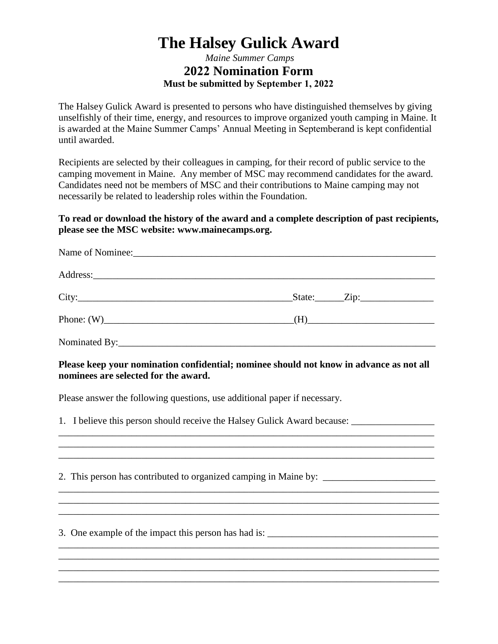## **The Halsey Gulick Award**

## *Maine Summer Camps*  **2022 Nomination Form Must be submitted by September 1, 2022**

The Halsey Gulick Award is presented to persons who have distinguished themselves by giving unselfishly of their time, energy, and resources to improve organized youth camping in Maine. It is awarded at the Maine Summer Camps' Annual Meeting in Septemberand is kept confidential until awarded.

Recipients are selected by their colleagues in camping, for their record of public service to the camping movement in Maine. Any member of MSC may recommend candidates for the award. Candidates need not be members of MSC and their contributions to Maine camping may not necessarily be related to leadership roles within the Foundation.

## **To read or download the history of the award and a complete description of past recipients, please see the MSC website: www.mainecamps.org.**

|                | $State: \qquad \qquad \text{Zip:}$                                                                                                                                                                                            |  |
|----------------|-------------------------------------------------------------------------------------------------------------------------------------------------------------------------------------------------------------------------------|--|
|                | Phone: $(W)$ [H = 0.1 m = 0.1 m = 0.1 m = 0.1 m = 0.1 m = 0.1 m = 0.1 m = 0.1 m = 0.1 m = 0.1 m = 0.1 m = 0.1 m = 0.1 m = 0.1 m = 0.1 m = 0.1 m = 0.1 m = 0.1 m = 0.1 m = 0.1 m = 0.1 m = 0.1 m = 0.1 m = 0.1 m = 0.1 m = 0.1 |  |
| $Nominated Rv$ |                                                                                                                                                                                                                               |  |

## **Please keep your nomination confidential; nominee should not know in advance as not all nominees are selected for the award.**

 $\mathcal{L}_\mathcal{L} = \{ \mathcal{L}_\mathcal{L} = \{ \mathcal{L}_\mathcal{L} = \{ \mathcal{L}_\mathcal{L} = \{ \mathcal{L}_\mathcal{L} = \{ \mathcal{L}_\mathcal{L} = \{ \mathcal{L}_\mathcal{L} = \{ \mathcal{L}_\mathcal{L} = \{ \mathcal{L}_\mathcal{L} = \{ \mathcal{L}_\mathcal{L} = \{ \mathcal{L}_\mathcal{L} = \{ \mathcal{L}_\mathcal{L} = \{ \mathcal{L}_\mathcal{L} = \{ \mathcal{L}_\mathcal{L} = \{ \mathcal{L}_\mathcal{$ \_\_\_\_\_\_\_\_\_\_\_\_\_\_\_\_\_\_\_\_\_\_\_\_\_\_\_\_\_\_\_\_\_\_\_\_\_\_\_\_\_\_\_\_\_\_\_\_\_\_\_\_\_\_\_\_\_\_\_\_\_\_\_\_\_\_\_\_\_\_\_\_\_\_\_\_\_

\_\_\_\_\_\_\_\_\_\_\_\_\_\_\_\_\_\_\_\_\_\_\_\_\_\_\_\_\_\_\_\_\_\_\_\_\_\_\_\_\_\_\_\_\_\_\_\_\_\_\_\_\_\_\_\_\_\_\_\_\_\_\_\_\_\_\_\_\_\_\_\_\_\_\_\_\_\_

\_\_\_\_\_\_\_\_\_\_\_\_\_\_\_\_\_\_\_\_\_\_\_\_\_\_\_\_\_\_\_\_\_\_\_\_\_\_\_\_\_\_\_\_\_\_\_\_\_\_\_\_\_\_\_\_\_\_\_\_\_\_\_\_\_\_\_\_\_\_\_\_\_\_\_\_\_\_ \_\_\_\_\_\_\_\_\_\_\_\_\_\_\_\_\_\_\_\_\_\_\_\_\_\_\_\_\_\_\_\_\_\_\_\_\_\_\_\_\_\_\_\_\_\_\_\_\_\_\_\_\_\_\_\_\_\_\_\_\_\_\_\_\_\_\_\_\_\_\_\_\_\_\_\_\_\_ \_\_\_\_\_\_\_\_\_\_\_\_\_\_\_\_\_\_\_\_\_\_\_\_\_\_\_\_\_\_\_\_\_\_\_\_\_\_\_\_\_\_\_\_\_\_\_\_\_\_\_\_\_\_\_\_\_\_\_\_\_\_\_\_\_\_\_\_\_\_\_\_\_\_\_\_\_\_

Please answer the following questions, use additional paper if necessary.

1. I believe this person should receive the Halsey Gulick Award because:

2. This person has contributed to organized camping in Maine by: \_\_\_\_\_\_\_\_\_\_\_\_\_\_\_\_

3. One example of the impact this person has had is: